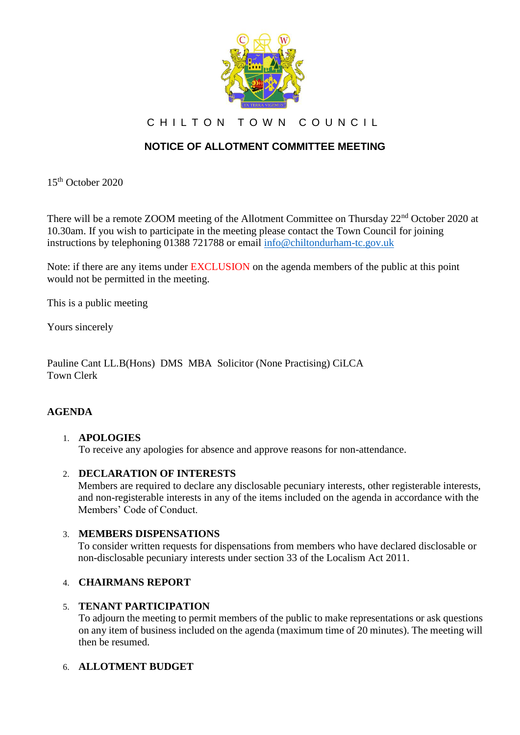

CHILTON TOWN COUNCIL

# **NOTICE OF ALLOTMENT COMMITTEE MEETING**

15th October 2020

There will be a remote ZOOM meeting of the Allotment Committee on Thursday 22<sup>nd</sup> October 2020 at 10.30am. If you wish to participate in the meeting please contact the Town Council for joining instructions by telephoning 01388 721788 or email [info@chiltondurham-tc.gov.uk](mailto:info@chiltondurham-tc.gov.uk)

Note: if there are any items under EXCLUSION on the agenda members of the public at this point would not be permitted in the meeting.

This is a public meeting

Yours sincerely

Pauline Cant LL.B(Hons) DMS MBA Solicitor (None Practising) CiLCA Town Clerk

# **AGENDA**

#### 1. **APOLOGIES**

To receive any apologies for absence and approve reasons for non-attendance.

#### 2. **DECLARATION OF INTERESTS**

Members are required to declare any disclosable pecuniary interests, other registerable interests, and non-registerable interests in any of the items included on the agenda in accordance with the Members' Code of Conduct.

#### 3. **MEMBERS DISPENSATIONS**

To consider written requests for dispensations from members who have declared disclosable or non-disclosable pecuniary interests under section 33 of the Localism Act 2011.

#### 4. **CHAIRMANS REPORT**

#### 5. **TENANT PARTICIPATION**

To adjourn the meeting to permit members of the public to make representations or ask questions on any item of business included on the agenda (maximum time of 20 minutes). The meeting will then be resumed.

# 6. **ALLOTMENT BUDGET**